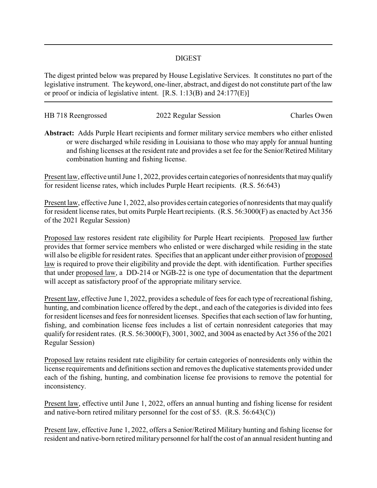## DIGEST

The digest printed below was prepared by House Legislative Services. It constitutes no part of the legislative instrument. The keyword, one-liner, abstract, and digest do not constitute part of the law or proof or indicia of legislative intent. [R.S. 1:13(B) and 24:177(E)]

| HB 718 Reengrossed | 2022 Regular Session | Charles Owen |
|--------------------|----------------------|--------------|
|                    |                      |              |

**Abstract:** Adds Purple Heart recipients and former military service members who either enlisted or were discharged while residing in Louisiana to those who may apply for annual hunting and fishing licenses at the resident rate and provides a set fee for the Senior/Retired Military combination hunting and fishing license.

Present law, effective until June 1, 2022, provides certain categories of nonresidents that mayqualify for resident license rates, which includes Purple Heart recipients. (R.S. 56:643)

Present law, effective June 1, 2022, also provides certain categories of nonresidents that may qualify for resident license rates, but omits Purple Heart recipients. (R.S. 56:3000(F) as enacted by Act 356 of the 2021 Regular Session)

Proposed law restores resident rate eligibility for Purple Heart recipients. Proposed law further provides that former service members who enlisted or were discharged while residing in the state will also be eligible for resident rates. Specifies that an applicant under either provision of proposed law is required to prove their eligibility and provide the dept. with identification. Further specifies that under proposed law, a DD-214 or NGB-22 is one type of documentation that the department will accept as satisfactory proof of the appropriate military service.

Present law, effective June 1, 2022, provides a schedule of fees for each type of recreational fishing, hunting, and combination licence offered by the dept., and each of the categories is divided into fees for resident licenses and fees for nonresident licenses. Specifies that each section of law for hunting, fishing, and combination license fees includes a list of certain nonresident categories that may qualify for resident rates. (R.S. 56:3000(F), 3001, 3002, and 3004 as enacted by Act 356 of the 2021 Regular Session)

Proposed law retains resident rate eligibility for certain categories of nonresidents only within the license requirements and definitions section and removes the duplicative statements provided under each of the fishing, hunting, and combination license fee provisions to remove the potential for inconsistency.

Present law, effective until June 1, 2022, offers an annual hunting and fishing license for resident and native-born retired military personnel for the cost of \$5. (R.S. 56:643(C))

Present law, effective June 1, 2022, offers a Senior/Retired Military hunting and fishing license for resident and native-born retired military personnel for half the cost of an annual resident hunting and